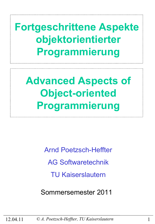**Fortgeschrittene Aspekte objektorientierter Programmierung**

**Advanced Aspects of Object-oriented Programmierung**

> Arnd Poetzsch-Heffter AG Softwaretechnik TU Kaiserslautern

Sommersemester 2011

12.04.11 *© A. Poetzsch-Heffter, TU Kaiserslautern* 1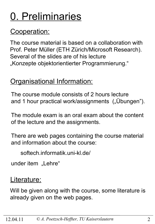# 0. Preliminaries

### Cooperation:

The course material is based on a collaboration with Prof. Peter Müller (ETH Zürich/Microsoft Research). Several of the slides are of his lecture "Konzepte objektorientierter Programmierung."

### **Organisational Information:**

The course module consists of 2 hours lecture and 1 hour practical work/assignments ("Übungen").

The module exam is an oral exam about the content of the lecture and the assignments.

There are web pages containing the course material and information about the course:

softech.informatik.uni-kl.de/

under item "Lehre"

### Literature:

Will be given along with the course, some literature is already given on the web pages.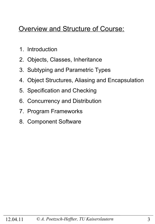### Overview and Structure of Course:

- 1. Introduction
- 2. Objects, Classes, Inheritance
- 3. Subtyping and Parametric Types
- 4. Object Structures, Aliasing and Encapsulation
- 5. Specification and Checking
- 6. Concurrency and Distribution
- 7. Program Frameworks
- 8. Component Software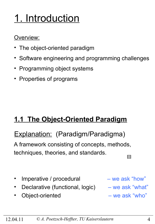# 1. Introduction

#### Overview:

- The object-oriented paradigm
- Software engineering and programming challenges
- Programming object systems
- Properties of programs

### **1.1 The Object-Oriented Paradigm**

### Explanation: (Paradigm/Paradigma)

A framework consisting of concepts, methods, techniques, theories, and standards. 

- Imperative / procedural we ask "how"
- Declarative (functional, logic) we ask "what"
- Object-oriented we ask "who"

- 
-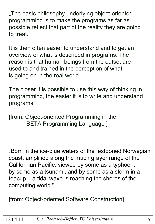"The basic philosophy underlying object-oriented programming is to make the programs as far as possible reflect that part of the reality they are going to treat.

It is then often easier to understand and to get an overview of what is described in programs. The reason is that human beings from the outset are used to and trained in the perception of what is going on in the real world.

The closer it is possible to use this way of thinking in programming, the easier it is to write and understand programs."

[from: Object-oriented Programming in the BETA Programming Language ]

"Born in the ice-blue waters of the festooned Norwegian coast; amplified along the much grayer range of the Californian Pacific; viewed by some as a typhoon, by some as a tsunami, and by some as a storm in a teacup – a tidal wave is reaching the shores of the computing world.''

[from: Object-oriented Software Construction]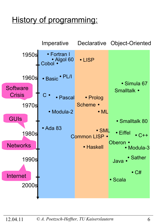## History of programming:

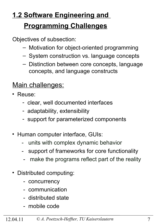## **1.2 Software Engineering and Programming Challenges**

Objectives of subsection:

- Motivation for object-oriented programming
- System construction vs. language concepts
- Distinction between core concepts, language concepts, and language constructs

### Main challenges:

- Reuse:
	- clear, well documented interfaces
	- adaptability, extensibility
	- support for parameterized components
- Human computer interface, GUIs:
	- units with complex dynamic behavior
	- support of frameworks for core functionality
	- make the programs reflect part of the reality
- Distributed computing:
	- concurrency
	- communication
	- distributed state
	- mobile code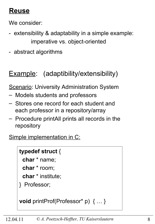### **Reuse**

We consider:

- extensibility & adaptability in a simple example: imperative vs. object-oriented
- abstract algorithms

### Example: (adaptibility/extensibility)

**Scenario: University Administration System** 

- Models students and professors
- Stores one record for each student and each professor in a repository/array
- Procedure printAll prints all records in the repository

Simple implementation in C:

#### **typedef struct** {

**char** \* name;

**char** \* room;

**char** \* institute;

} Professor;

**void** printProf(Professor\* p) { … }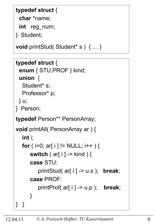#### **typedef struct** {

**char** \*name;

**int** reg\_num;

} Student;

**void** printStud( Student\* s ) { … }

```
typedef struct {
```

```
 enum { STU,PROF } kind; 
 union {
```
Student\* s; Professor\* p;

```
 } u;
```

```
} Person;
```
**typedef** Person\*\* PersonArray;

```
void printAll( PersonArray ar ) {
   int i;
  for ( i=0; ar[ i ] != NULL; i++ ) {
       switch ( ar[ i ] -> kind ) {
       case STU: 
          printStud( ar[ i ] -> u.s ); break;
       case PROF: 
          printProf( ar[ i ] -> u.p ); break;
       }
} }
```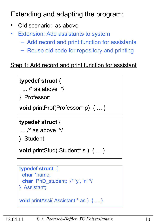### **Extending and adapting the program:**

- Old scenario: as above
- **Extension: Add assistants to system** 
	- Add record and print function for assistants
	- Reuse old code for repository and printing

#### Step 1: Add record and print function for assistant

### **typedef struct** {

 $\ldots$  /\* as above  $\prime$ /

} Professor;

**void** printProf(Professor\* p) { … }

#### **typedef struct** {

```
\ldots /* as above \frac{*}{ }
```
} Student;

**void** printStud( Student\* s ) { … }

```
typedef struct {
  char *name;
  char PhD_student; /* 'y', 'n' */
} Assistant;
```

```
void printAssi( Assistant * as ) { … }
```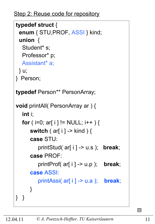Step 2: Reuse code for repository

```
typedef struct {
  enum { STU,PROF, ASSI } kind; 
  union { 
  Student* s;
   Professor* p;
   Assistant* a;
  } u;
} Person;
typedef Person** PersonArray;
void printAll( PersonArray ar ) {
   int i;
  for ( i=0; ar[ i ] != NULL; i++ ) {
       switch ( ar[ i ] -> kind ) {
       case STU: 
          printStud( ar[ i ] -> u.s ); break;
       case PROF: 
          printProf( ar[ i ] -> u.p ); break;
       case ASSI: 
          printAssi( ar[ i ] -> u.a ); break;
       }
} }
```
 $\Box$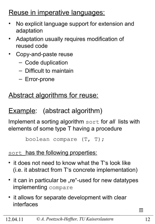### Reuse in imperative languages:

- No explicit language support for extension and adaptation
- Adaptation usually requires modification of reused code
- Copy-and-paste reuse
	- Code duplication
	- Difficult to maintain
	- Error-prone

### Abstract algorithms for reuse:

### Example: (abstract algorithm)

Implement a sorting algorithm sort for *all* lists with elements of some type T having a procedure

```
 boolean compare (T, T);
```
#### sort has the following properties:

- it does not need to know what the T's look like (i.e. it abstract from T's concrete implementation)
- it can in particular be "re"-used for new datatypes implementing compare
- it allows for separate development with clear interfaces

 $\Box$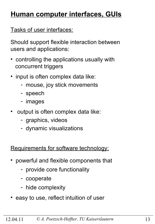### **Human computer interfaces, GUIs**

Tasks of user interfaces:

Should support flexible interaction between users and applications:

- controlling the applications usually with concurrent triggers
- input is often complex data like:
	- mouse, joy stick movements
	- speech
	- images
- output is often complex data like:
	- graphics, videos
	- dynamic visualizations

Requirements for software technology:

- powerful and flexible components that
	- provide core functionality
	- cooperate
	- hide complexity
- easy to use, reflect intuition of user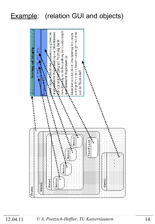### Example: (relation GUI and objects)



#### 12.04.11 *© A. Poetzsch-Heffter, TU Kaiserslautern* 14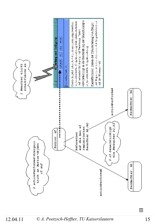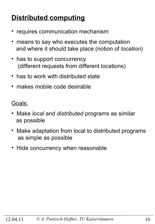### **Distributed computing**

- requires communication mechanism
- means to say who executes the computation and where it should take place (notion of *location*)
- has to support concurrency (different requests from different locations)
- has to work with distributed state
- makes mobile code desirable

Goals:

- Make *local* and *distributed* programs as similar as possible
- Make adaptation from local to distributed programs as simple as possible
- Hide concurrency when reasonable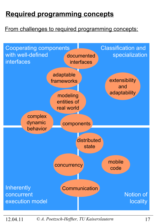### **Required programming concepts**

#### From challenges to required programming concepts:



12.04.11 *© A. Poetzsch-Heffter, TU Kaiserslautern* 17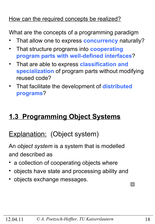#### How can the required concepts be realized?

What are the concepts of a programming paradigm

- That allow one to express **concurrency** naturally?
- That structure programs into **cooperating program parts with well-defined interfaces**?
- That are able to express **classification and specialization** of program parts without modifying reused code?
- That facilitate the development of **distributed programs**?

### **1.3 Programming Object Systems**

### Explanation: (Object system)

An *object system* is a system that is modelled and described as

- a collection of cooperating objects where
- objects have state and processing ability and
- objects exchange messages.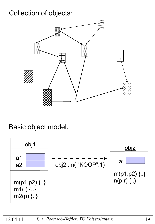### Collection of objects:



### Basic object model:

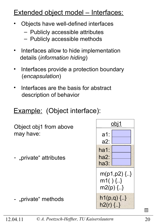### Extended object model - Interfaces:

- Objects have well-defined interfaces
	- Publicly accessible attributes
	- Publicly accessible methods
- Interfaces allow to hide implementation details (*information hiding*)
- Interfaces provide a protection boundary (*encapsulation*)
- Interfaces are the basis for abstract description of behavior

### Example: (Object interface):

Object obj1 from above may have:

- "private" attributes

- "private" methods

a1: a2: obj1 m(p1,p2) {..} m1( ) {..} m2(p) {..} ha1: ha2: ha3:  $h1(p,q)$  {..}  $h2(r)$  {..}

 $\overline{\phantom{a}}$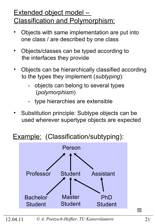### Extended object model – Classification and Polymorphism:

- Objects with same implementation are put into one class / are described by one class
- Objects/classes can be typed according to the interfaces they provide
- Objects can be hierarchically classified according to the types they implement (*subtyping*):
	- objects can belong to several types (*polymorphism*)
	- type hierarchies are extensible
- Substitution principle: Subtype objects can be used wherever supertype objects are expected

### Example: (Classification/subtyping):



 $\Box$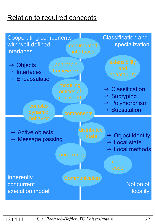### **Relation to required concepts**

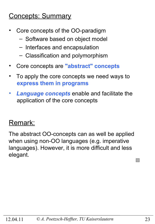### Concepts: Summary

- Core concepts of the OO-paradigm
	- Software based on object model
	- Interfaces and encapsulation
	- Classification and polymorphism
- Core concepts are **"abstract" concepts**
- To apply the core concepts we need ways to  **express them in programs**
- *Language concepts* enable and facilitate the application of the core concepts

### Remark:

The abstract OO-concepts can as well be applied when using non-OO languages (e.g. imperative languages). However, it is more difficult and less elegant.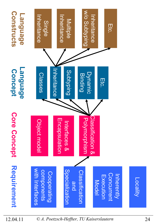

12.04.11 *© A. Poetzsch-Heffter, TU Kaiserslautern* 24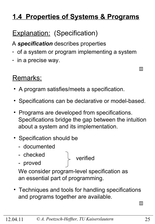### **1.4 Properties of Systems & Programs**

### **Explanation: (Specification)**

A *specification* describes properties

- of a system or program implementing a system
- in a precise way.

### Remarks:

- A program satisfies/meets a specification.
- Specifications can be declarative or model-based.
- Programs are developed from specifications. Specifications bridge the gap between the intuition about a system and its implementation.
- Specification should be
	- documented
	- checked
	- proved

verified

 We consider program-level specification as an essential part of programming.

• Techniques and tools for handling specifications and programs together are available.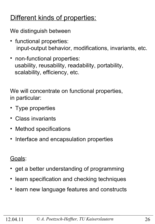### Different kinds of properties:

We distinguish between

- functional properties: input-output behavior, modifications, invariants, etc.
- non-functional properties: usability, reusability, readability, portability, scalability, efficiency, etc.

We will concentrate on functional properties, in particular:

- Type properties
- Class invariants
- Method specifications
- Interface and encapsulation properties

Goals:

- get a better understanding of programming
- learn specification and checking techniques
- learn new language features and constructs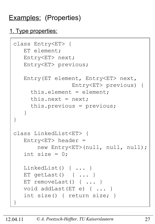### Examples: (Properties)

#### 1. Type properties:

```
class Entry<ET> {
    ET element;
    Entry<ET> next;
    Entry<ET> previous;
    Entry(ET element, Entry<ET> next, 
                   Entry<ET> previous) {
      this.element = element;
     this.next = next; this.previous = previous;
    }
}
class LinkedList<ET> {
   Entropy < ET header =
        new Entry<ET>(null, null, null);
   int size = 0:
    LinkedList() { ... }
    ET getLast() { ... }
   ET removeLast() { ... }
    void addLast(ET e) { ... }
    int size() { return size; }
}
```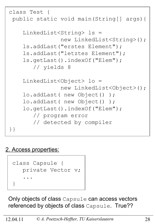```
class Test {
 public static void main(String[] args){
     LinkedList<String> ls = 
                 new LinkedList<String>();
     ls.addLast("erstes Element");
     ls.addLast("letztes Element");
     ls.getLast().indexOf("Elem"); 
        // yields 8
     LinkedList<Object> lo = 
                 new LinkedList<Object>();
     lo.addLast( new Object() );
     lo.addLast( new Object() );
     lo.getLast().indexOf("Elem"); 
        // program error
        // detected by compiler 
}}
```
#### 2. Access properties:



Only objects of class Capsule can access vectors referenced by objects of class Capsule. True??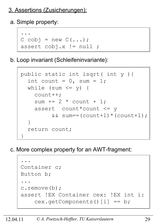#### 3. Assertions (Zusicherungen):

a. Simple property:



b. Loop invariant (Schleifeninvariante):

```
 public static int isqrt( int y ){
       int count = 0, sum = 1;
       while (sum \leq y) {
           count++;
           sum += 2 * count + 1; assert count*count <= y 
                   &\&\; sum==(count+1)*(count+1);\begin{pmatrix} 1 & 1 \\ 1 & 1 \end{pmatrix} return count;
\begin{array}{c} \begin{array}{c} \end{array} \end{array}
```
c. More complex property for an AWT-fragment:

 ... Container c; Button b; ... c.remove(b); assert !EX Container cex: !EX int i: cex.getComponents()[i] == b;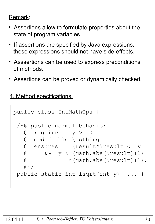#### Remark:

- Assertions allow to formulate properties about the state of program variables.
- If assertions are specified by Java expressions, these expressions should not have side-effects.
- Asssertions can be used to express preconditions of methods.
- Assertions can be proved or dynamically checked.

4. Method specifications:

```
public class IntMathOps {
 /*@ public normal_behavior
    @ requires y >= 0
    @ modifiable \nothing
    @ ensures \result*\result <= y
   \alpha & \alpha y < (Math.abs(\result)+1)
   \textcircled{t} * (Math.abs(\result)+1);
   \theta \star /public static int isqrt(int y){ ... }
}
```